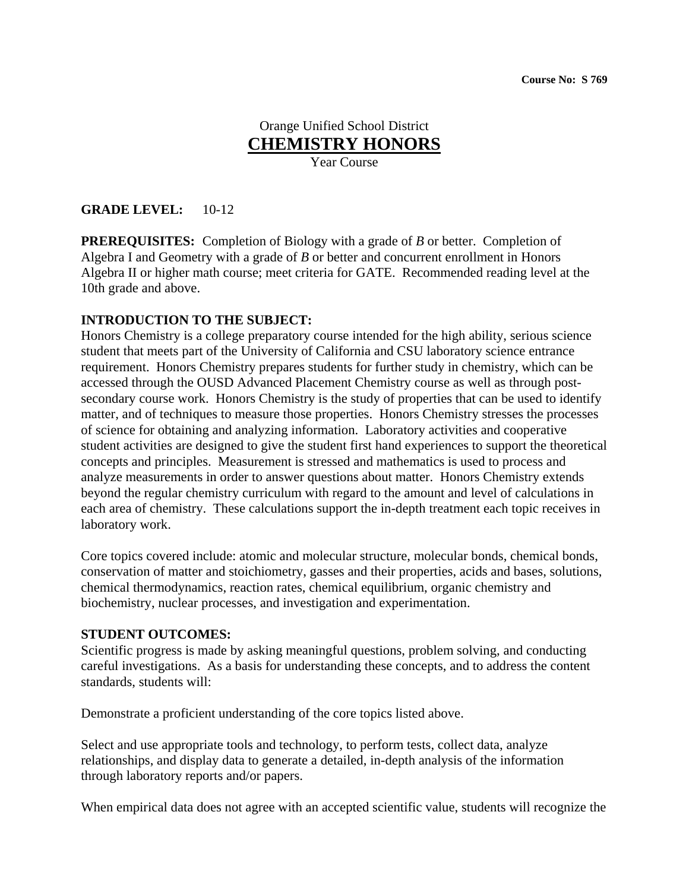#### Orange Unified School District **CHEMISTRY HONORS** Year Course

#### **GRADE LEVEL:** 10-12

**PREREQUISITES:** Completion of Biology with a grade of *B* or better. Completion of Algebra I and Geometry with a grade of *B* or better and concurrent enrollment in Honors Algebra II or higher math course; meet criteria for GATE. Recommended reading level at the 10th grade and above.

#### **INTRODUCTION TO THE SUBJECT:**

Honors Chemistry is a college preparatory course intended for the high ability, serious science student that meets part of the University of California and CSU laboratory science entrance requirement. Honors Chemistry prepares students for further study in chemistry, which can be accessed through the OUSD Advanced Placement Chemistry course as well as through postsecondary course work. Honors Chemistry is the study of properties that can be used to identify matter, and of techniques to measure those properties. Honors Chemistry stresses the processes of science for obtaining and analyzing information. Laboratory activities and cooperative student activities are designed to give the student first hand experiences to support the theoretical concepts and principles. Measurement is stressed and mathematics is used to process and analyze measurements in order to answer questions about matter. Honors Chemistry extends beyond the regular chemistry curriculum with regard to the amount and level of calculations in each area of chemistry. These calculations support the in-depth treatment each topic receives in laboratory work.

Core topics covered include: atomic and molecular structure, molecular bonds, chemical bonds, conservation of matter and stoichiometry, gasses and their properties, acids and bases, solutions, chemical thermodynamics, reaction rates, chemical equilibrium, organic chemistry and biochemistry, nuclear processes, and investigation and experimentation.

#### **STUDENT OUTCOMES:**

Scientific progress is made by asking meaningful questions, problem solving, and conducting careful investigations. As a basis for understanding these concepts, and to address the content standards, students will:

Demonstrate a proficient understanding of the core topics listed above.

Select and use appropriate tools and technology, to perform tests, collect data, analyze relationships, and display data to generate a detailed, in-depth analysis of the information through laboratory reports and/or papers.

When empirical data does not agree with an accepted scientific value, students will recognize the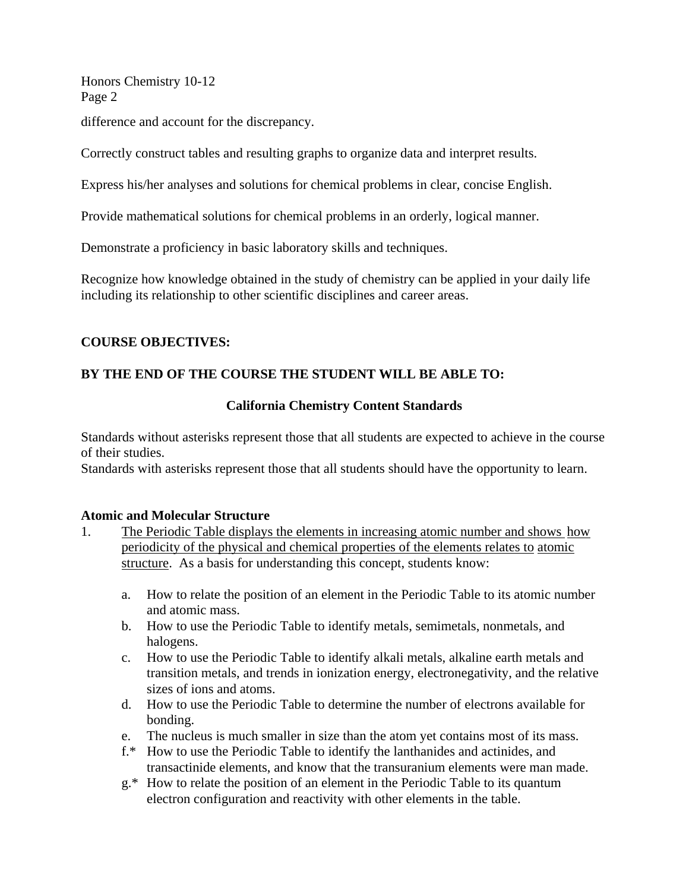difference and account for the discrepancy.

Correctly construct tables and resulting graphs to organize data and interpret results.

Express his/her analyses and solutions for chemical problems in clear, concise English.

Provide mathematical solutions for chemical problems in an orderly, logical manner.

Demonstrate a proficiency in basic laboratory skills and techniques.

Recognize how knowledge obtained in the study of chemistry can be applied in your daily life including its relationship to other scientific disciplines and career areas.

#### **COURSE OBJECTIVES:**

#### **BY THE END OF THE COURSE THE STUDENT WILL BE ABLE TO:**

#### **California Chemistry Content Standards**

Standards without asterisks represent those that all students are expected to achieve in the course of their studies.

Standards with asterisks represent those that all students should have the opportunity to learn.

#### **Atomic and Molecular Structure**

- 1. The Periodic Table displays the elements in increasing atomic number and shows how periodicity of the physical and chemical properties of the elements relates to atomic structure. As a basis for understanding this concept, students know:
	- a. How to relate the position of an element in the Periodic Table to its atomic number and atomic mass.
	- b. How to use the Periodic Table to identify metals, semimetals, nonmetals, and halogens.
	- c. How to use the Periodic Table to identify alkali metals, alkaline earth metals and transition metals, and trends in ionization energy, electronegativity, and the relative sizes of ions and atoms.
	- d. How to use the Periodic Table to determine the number of electrons available for bonding.
	- e. The nucleus is much smaller in size than the atom yet contains most of its mass.
	- f.\* How to use the Periodic Table to identify the lanthanides and actinides, and transactinide elements, and know that the transuranium elements were man made.
	- g.\* How to relate the position of an element in the Periodic Table to its quantum electron configuration and reactivity with other elements in the table.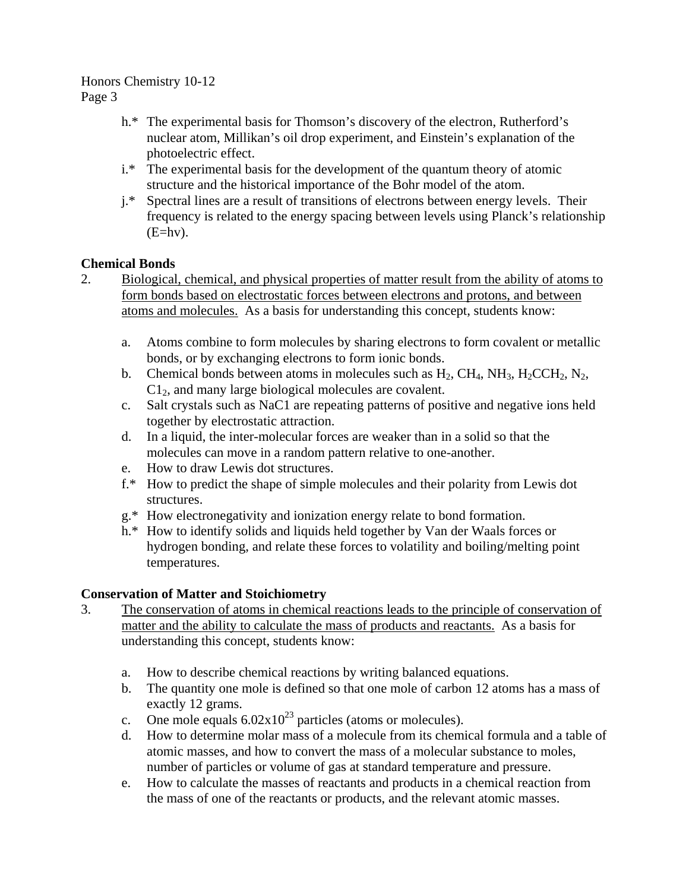- h.\* The experimental basis for Thomson's discovery of the electron, Rutherford's nuclear atom, Millikan's oil drop experiment, and Einstein's explanation of the photoelectric effect.
- i.\* The experimental basis for the development of the quantum theory of atomic structure and the historical importance of the Bohr model of the atom.
- j.\* Spectral lines are a result of transitions of electrons between energy levels. Their frequency is related to the energy spacing between levels using Planck's relationship  $(E=hv)$ .

#### **Chemical Bonds**

- 2. Biological, chemical, and physical properties of matter result from the ability of atoms to form bonds based on electrostatic forces between electrons and protons, and between atoms and molecules. As a basis for understanding this concept, students know:
	- a. Atoms combine to form molecules by sharing electrons to form covalent or metallic bonds, or by exchanging electrons to form ionic bonds.
	- b. Chemical bonds between atoms in molecules such as  $H_2$ , CH<sub>4</sub>, NH<sub>3</sub>, H<sub>2</sub>CCH<sub>2</sub>, N<sub>2</sub>, C12, and many large biological molecules are covalent.
	- c. Salt crystals such as NaC1 are repeating patterns of positive and negative ions held together by electrostatic attraction.
	- d. In a liquid, the inter-molecular forces are weaker than in a solid so that the molecules can move in a random pattern relative to one-another.
	- e. How to draw Lewis dot structures.
	- f.\* How to predict the shape of simple molecules and their polarity from Lewis dot structures.
	- g.\* How electronegativity and ionization energy relate to bond formation.
	- h.\* How to identify solids and liquids held together by Van der Waals forces or hydrogen bonding, and relate these forces to volatility and boiling/melting point temperatures.

#### **Conservation of Matter and Stoichiometry**

- 3. The conservation of atoms in chemical reactions leads to the principle of conservation of matter and the ability to calculate the mass of products and reactants. As a basis for understanding this concept, students know:
	- a. How to describe chemical reactions by writing balanced equations.
	- b. The quantity one mole is defined so that one mole of carbon 12 atoms has a mass of exactly 12 grams.
	- c. One mole equals  $6.02 \times 10^{23}$  particles (atoms or molecules).
	- d. How to determine molar mass of a molecule from its chemical formula and a table of atomic masses, and how to convert the mass of a molecular substance to moles, number of particles or volume of gas at standard temperature and pressure.
	- e. How to calculate the masses of reactants and products in a chemical reaction from the mass of one of the reactants or products, and the relevant atomic masses.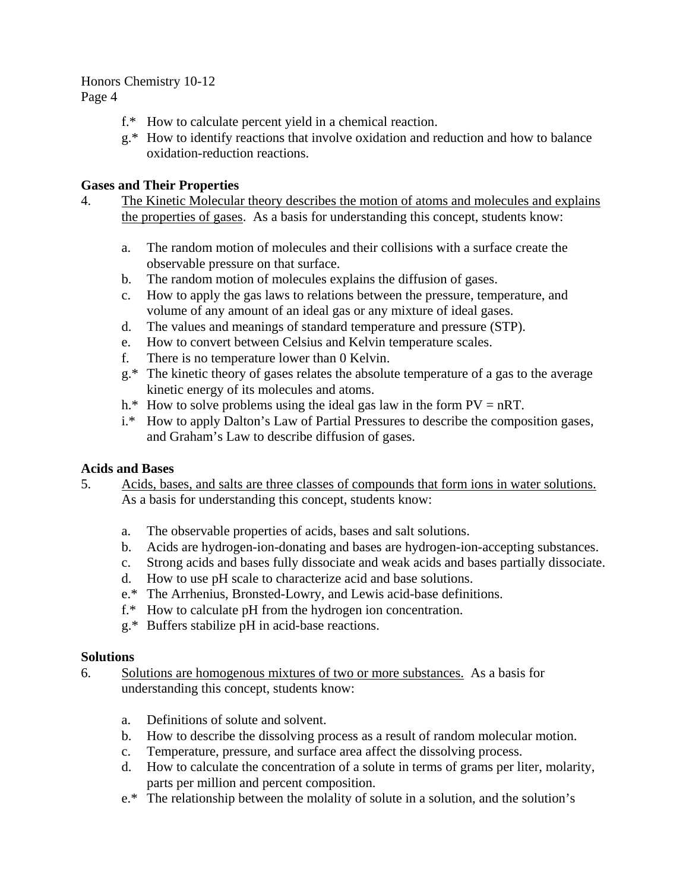- f.\* How to calculate percent yield in a chemical reaction.
- g.\* How to identify reactions that involve oxidation and reduction and how to balance oxidation-reduction reactions.

#### **Gases and Their Properties**

- 4. The Kinetic Molecular theory describes the motion of atoms and molecules and explains the properties of gases. As a basis for understanding this concept, students know:
	- a. The random motion of molecules and their collisions with a surface create the observable pressure on that surface.
	- b. The random motion of molecules explains the diffusion of gases.
	- c. How to apply the gas laws to relations between the pressure, temperature, and volume of any amount of an ideal gas or any mixture of ideal gases.
	- d. The values and meanings of standard temperature and pressure (STP).
	- e. How to convert between Celsius and Kelvin temperature scales.
	- f. There is no temperature lower than 0 Kelvin.
	- g.\* The kinetic theory of gases relates the absolute temperature of a gas to the average kinetic energy of its molecules and atoms.
	- h.\* How to solve problems using the ideal gas law in the form  $PV = nRT$ .
	- i.\* How to apply Dalton's Law of Partial Pressures to describe the composition gases, and Graham's Law to describe diffusion of gases.

#### **Acids and Bases**

5. Acids, bases, and salts are three classes of compounds that form ions in water solutions. As a basis for understanding this concept, students know:

- a. The observable properties of acids, bases and salt solutions.
- b. Acids are hydrogen-ion-donating and bases are hydrogen-ion-accepting substances.
- c. Strong acids and bases fully dissociate and weak acids and bases partially dissociate.
- d. How to use pH scale to characterize acid and base solutions.
- e.\* The Arrhenius, Bronsted-Lowry, and Lewis acid-base definitions.
- f.\* How to calculate pH from the hydrogen ion concentration.
- g.\* Buffers stabilize pH in acid-base reactions.

#### **Solutions**

- 6. Solutions are homogenous mixtures of two or more substances. As a basis for understanding this concept, students know:
	- a. Definitions of solute and solvent.
	- b. How to describe the dissolving process as a result of random molecular motion.
	- c. Temperature, pressure, and surface area affect the dissolving process.
	- d. How to calculate the concentration of a solute in terms of grams per liter, molarity, parts per million and percent composition.
	- e.\* The relationship between the molality of solute in a solution, and the solution's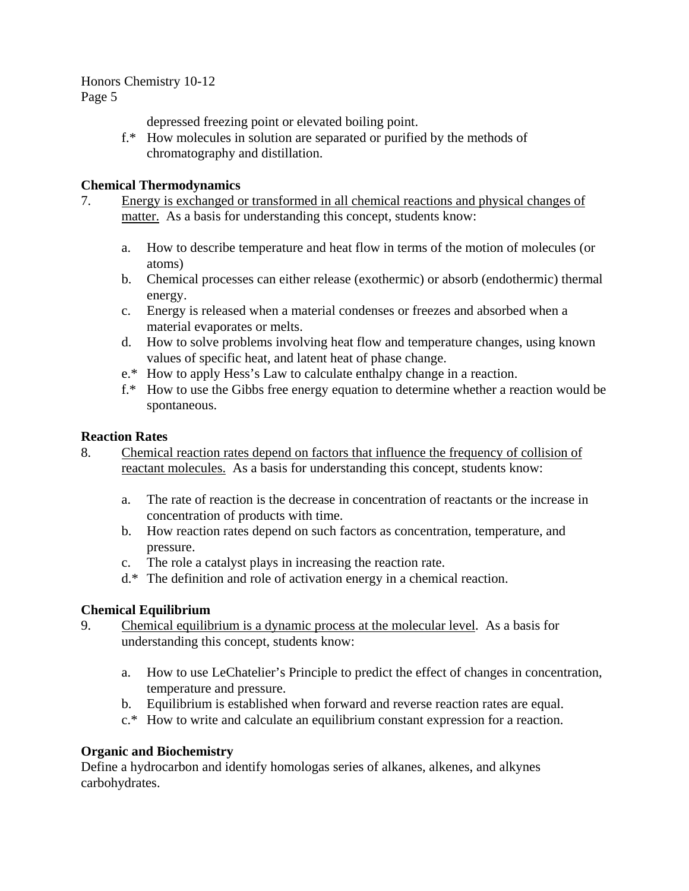depressed freezing point or elevated boiling point.

f.\* How molecules in solution are separated or purified by the methods of chromatography and distillation.

#### **Chemical Thermodynamics**

- 7. Energy is exchanged or transformed in all chemical reactions and physical changes of matter. As a basis for understanding this concept, students know:
	- a. How to describe temperature and heat flow in terms of the motion of molecules (or atoms)
	- b. Chemical processes can either release (exothermic) or absorb (endothermic) thermal energy.
	- c. Energy is released when a material condenses or freezes and absorbed when a material evaporates or melts.
	- d. How to solve problems involving heat flow and temperature changes, using known values of specific heat, and latent heat of phase change.
	- e.\* How to apply Hess's Law to calculate enthalpy change in a reaction.
	- f.\* How to use the Gibbs free energy equation to determine whether a reaction would be spontaneous.

#### **Reaction Rates**

- 8. Chemical reaction rates depend on factors that influence the frequency of collision of reactant molecules. As a basis for understanding this concept, students know:
	- a. The rate of reaction is the decrease in concentration of reactants or the increase in concentration of products with time.
	- b. How reaction rates depend on such factors as concentration, temperature, and pressure.
	- c. The role a catalyst plays in increasing the reaction rate.
	- d.\* The definition and role of activation energy in a chemical reaction.

#### **Chemical Equilibrium**

- 9. Chemical equilibrium is a dynamic process at the molecular level. As a basis for understanding this concept, students know:
	- a. How to use LeChatelier's Principle to predict the effect of changes in concentration, temperature and pressure.
	- b. Equilibrium is established when forward and reverse reaction rates are equal.
	- c.\* How to write and calculate an equilibrium constant expression for a reaction.

#### **Organic and Biochemistry**

Define a hydrocarbon and identify homologas series of alkanes, alkenes, and alkynes carbohydrates.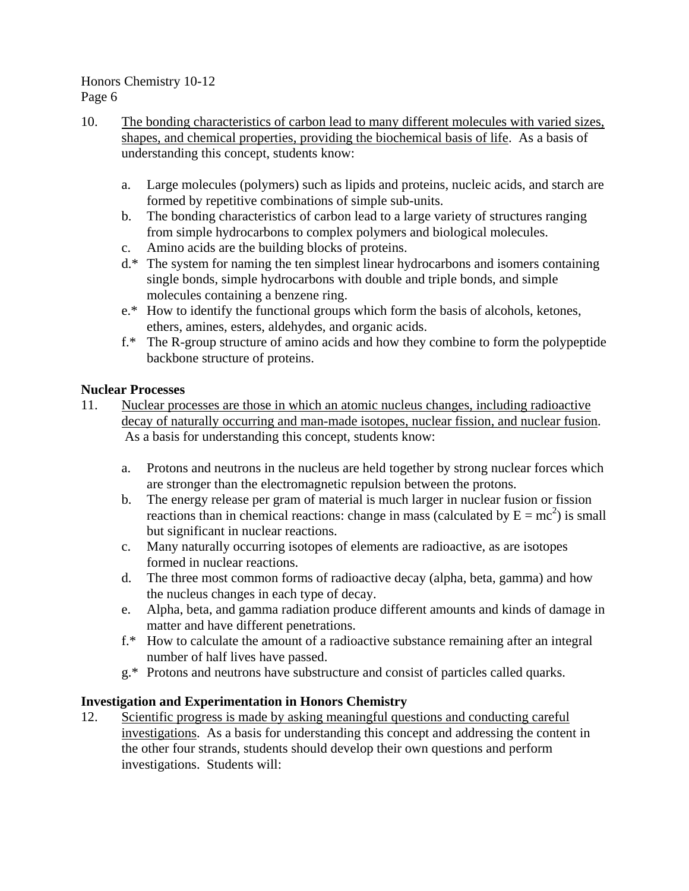- 10. The bonding characteristics of carbon lead to many different molecules with varied sizes, shapes, and chemical properties, providing the biochemical basis of life. As a basis of understanding this concept, students know:
	- a. Large molecules (polymers) such as lipids and proteins, nucleic acids, and starch are formed by repetitive combinations of simple sub-units.
	- b. The bonding characteristics of carbon lead to a large variety of structures ranging from simple hydrocarbons to complex polymers and biological molecules.
	- c. Amino acids are the building blocks of proteins.
	- d.\* The system for naming the ten simplest linear hydrocarbons and isomers containing single bonds, simple hydrocarbons with double and triple bonds, and simple molecules containing a benzene ring.
	- e.\* How to identify the functional groups which form the basis of alcohols, ketones, ethers, amines, esters, aldehydes, and organic acids.
	- f.\* The R-group structure of amino acids and how they combine to form the polypeptide backbone structure of proteins.

#### **Nuclear Processes**

- 11. Nuclear processes are those in which an atomic nucleus changes, including radioactive decay of naturally occurring and man-made isotopes, nuclear fission, and nuclear fusion. As a basis for understanding this concept, students know:
	- a. Protons and neutrons in the nucleus are held together by strong nuclear forces which are stronger than the electromagnetic repulsion between the protons.
	- b. The energy release per gram of material is much larger in nuclear fusion or fission reactions than in chemical reactions: change in mass (calculated by  $E = mc^2$ ) is small but significant in nuclear reactions.
	- c. Many naturally occurring isotopes of elements are radioactive, as are isotopes formed in nuclear reactions.
	- d. The three most common forms of radioactive decay (alpha, beta, gamma) and how the nucleus changes in each type of decay.
	- e. Alpha, beta, and gamma radiation produce different amounts and kinds of damage in matter and have different penetrations.
	- f.\* How to calculate the amount of a radioactive substance remaining after an integral number of half lives have passed.
	- g.\* Protons and neutrons have substructure and consist of particles called quarks.

#### **Investigation and Experimentation in Honors Chemistry**

12. Scientific progress is made by asking meaningful questions and conducting careful investigations. As a basis for understanding this concept and addressing the content in the other four strands, students should develop their own questions and perform investigations. Students will: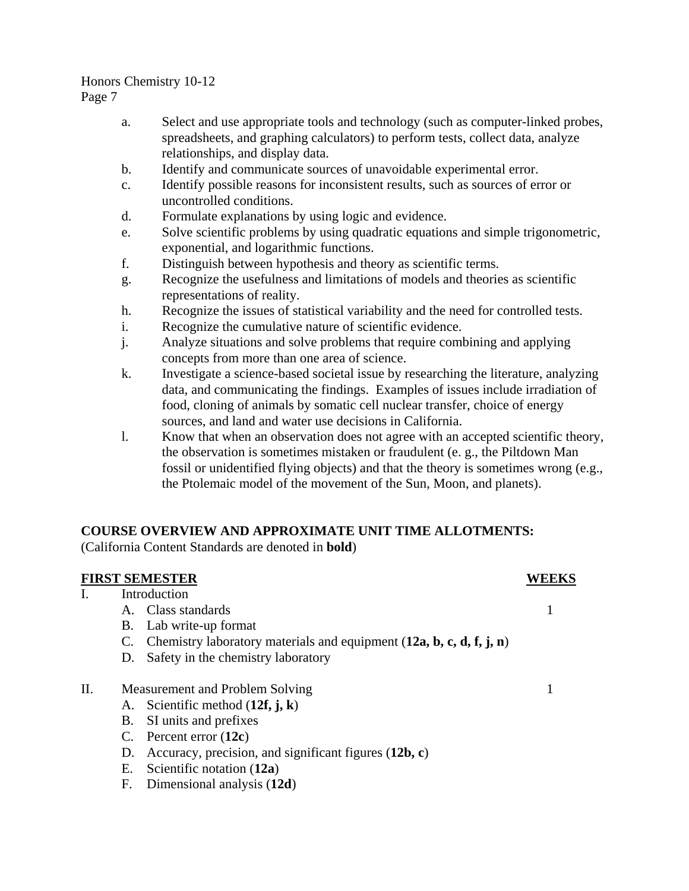Honors Chemistry 10-12

Page 7

- a. Select and use appropriate tools and technology (such as computer-linked probes, spreadsheets, and graphing calculators) to perform tests, collect data, analyze relationships, and display data.
- b. Identify and communicate sources of unavoidable experimental error.
- c. Identify possible reasons for inconsistent results, such as sources of error or uncontrolled conditions.
- d. Formulate explanations by using logic and evidence.
- e. Solve scientific problems by using quadratic equations and simple trigonometric, exponential, and logarithmic functions.
- f. Distinguish between hypothesis and theory as scientific terms.
- g. Recognize the usefulness and limitations of models and theories as scientific representations of reality.
- h. Recognize the issues of statistical variability and the need for controlled tests.
- i. Recognize the cumulative nature of scientific evidence.
- j. Analyze situations and solve problems that require combining and applying concepts from more than one area of science.
- k. Investigate a science-based societal issue by researching the literature, analyzing data, and communicating the findings. Examples of issues include irradiation of food, cloning of animals by somatic cell nuclear transfer, choice of energy sources, and land and water use decisions in California.
- l. Know that when an observation does not agree with an accepted scientific theory, the observation is sometimes mistaken or fraudulent (e. g., the Piltdown Man fossil or unidentified flying objects) and that the theory is sometimes wrong (e.g., the Ptolemaic model of the movement of the Sun, Moon, and planets).

#### **COURSE OVERVIEW AND APPROXIMATE UNIT TIME ALLOTMENTS:**

(California Content Standards are denoted in **bold**)

#### **FIRST SEMESTER WEEKS**

#### I. Introduction A. Class standards 1

- B. Lab write-up format
- C. Chemistry laboratory materials and equipment (**12a, b, c, d, f, j, n**)
- D. Safety in the chemistry laboratory

#### II. Measurement and Problem Solving 1

- A. Scientific method (**12f, j, k**)
- B. SI units and prefixes
- C. Percent error (**12c**)
- D. Accuracy, precision, and significant figures (**12b, c**)
- E. Scientific notation (**12a**)
- F. Dimensional analysis (**12d**)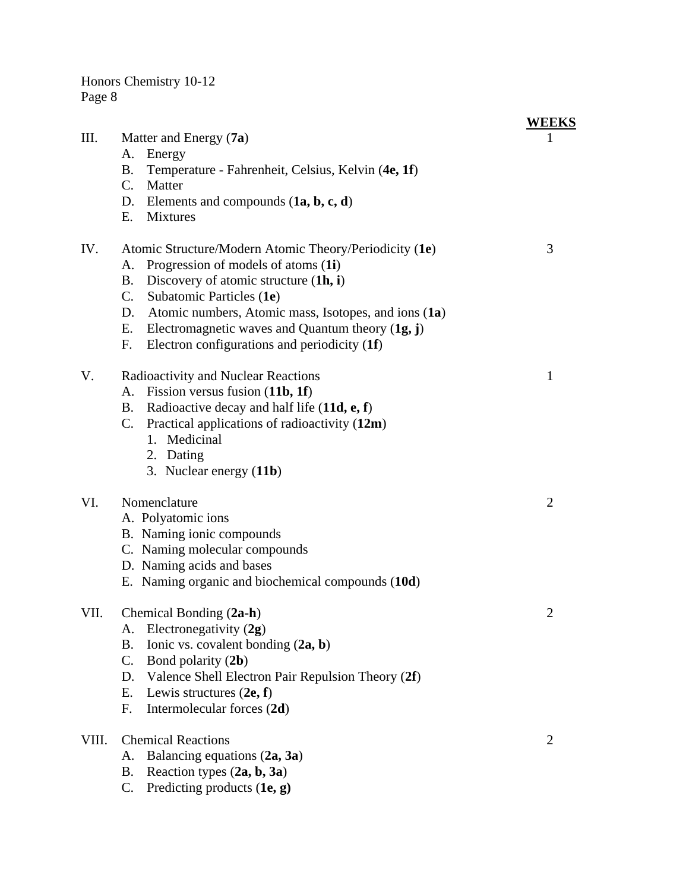|       |                                                             | <b>WEEKS</b>   |
|-------|-------------------------------------------------------------|----------------|
| Ш.    | Matter and Energy (7a)                                      | 1              |
|       | A. Energy                                                   |                |
|       | Temperature - Fahrenheit, Celsius, Kelvin (4e, 1f)<br>B.    |                |
|       | C. Matter                                                   |                |
|       | D. Elements and compounds $(1a, b, c, d)$                   |                |
|       | Mixtures<br>E.                                              |                |
| IV.   | Atomic Structure/Modern Atomic Theory/Periodicity (1e)      | 3              |
|       | Progression of models of atoms (1i)<br>A.                   |                |
|       | Discovery of atomic structure $(1h, i)$<br><b>B.</b>        |                |
|       | Subatomic Particles (1e)<br>C.                              |                |
|       | D. Atomic numbers, Atomic mass, Isotopes, and ions (1a)     |                |
|       | Electromagnetic waves and Quantum theory $(1g, j)$<br>Е.    |                |
|       | Electron configurations and periodicity (1f)<br>$F_{\cdot}$ |                |
| V.    | <b>Radioactivity and Nuclear Reactions</b>                  | $\mathbf{1}$   |
|       | A. Fission versus fusion (11b, 1f)                          |                |
|       | B. Radioactive decay and half life (11d, e, f)              |                |
|       | C. Practical applications of radioactivity $(12m)$          |                |
|       | 1. Medicinal                                                |                |
|       | 2. Dating                                                   |                |
|       | 3. Nuclear energy (11b)                                     |                |
| VI.   | Nomenclature                                                | $\overline{2}$ |
|       | A. Polyatomic ions                                          |                |
|       | B. Naming ionic compounds                                   |                |
|       | C. Naming molecular compounds                               |                |
|       | D. Naming acids and bases                                   |                |
|       | E. Naming organic and biochemical compounds (10d)           |                |
| VII.  | Chemical Bonding (2a-h)                                     | $\overline{2}$ |
|       | Electronegativity $(2g)$<br>A.                              |                |
|       | Ionic vs. covalent bonding $(2a, b)$<br><b>B.</b>           |                |
|       | Bond polarity (2b)<br>C.                                    |                |
|       | Valence Shell Electron Pair Repulsion Theory (2f)<br>D.     |                |
|       | E.<br>Lewis structures $(2e, f)$                            |                |
|       | Intermolecular forces (2d)<br>F.                            |                |
| VIII. | <b>Chemical Reactions</b>                                   | $\overline{2}$ |
|       | Balancing equations (2a, 3a)<br>А.                          |                |
|       | Reaction types $(2a, b, 3a)$<br><b>B.</b>                   |                |
|       | Predicting products (1e, g)<br>C.                           |                |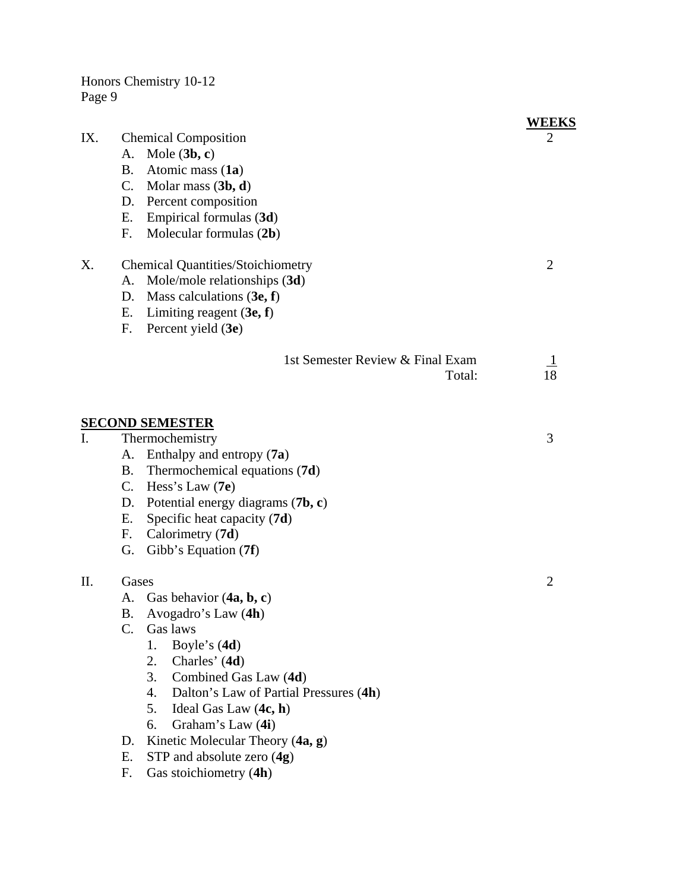|     |                                          |                                                    | <b>WEEKS</b> |
|-----|------------------------------------------|----------------------------------------------------|--------------|
| IX. |                                          | <b>Chemical Composition</b>                        | 2            |
|     | А.                                       | Mole $(3b, c)$                                     |              |
|     | <b>B.</b>                                | Atomic mass $(1a)$                                 |              |
|     |                                          | C. Molar mass $(3b, d)$                            |              |
|     | D.                                       | Percent composition                                |              |
|     | Е.                                       | Empirical formulas (3d)                            |              |
|     | F.                                       | Molecular formulas (2b)                            |              |
| Х.  | <b>Chemical Quantities/Stoichiometry</b> |                                                    | 2            |
|     | A.                                       | Mole/mole relationships (3d)                       |              |
|     | D.                                       | Mass calculations $(3e, f)$                        |              |
|     |                                          | E. Limiting reagent $(3e, f)$                      |              |
|     | $F_{\cdot}$                              | Percent yield (3e)                                 |              |
|     |                                          | 1st Semester Review & Final Exam                   |              |
|     |                                          | Total:                                             | 18           |
|     |                                          |                                                    |              |
|     |                                          | <b>SECOND SEMESTER</b>                             |              |
| I.  |                                          | Thermochemistry                                    | 3            |
|     |                                          | A. Enthalpy and entropy (7a)                       |              |
|     | <b>B.</b>                                | Thermochemical equations (7d)                      |              |
|     | C.                                       | Hess's Law $(7e)$                                  |              |
|     |                                          | D. Potential energy diagrams $(7b, c)$             |              |
|     | Е.                                       | Specific heat capacity $(7d)$                      |              |
|     | F.                                       | Calorimetry (7d)                                   |              |
|     | G.                                       | Gibb's Equation (7f)                               |              |
| Π.  |                                          | Gases                                              |              |
|     | A.                                       | Gas behavior $(4a, b, c)$                          |              |
|     |                                          | B. Avogadro's Law (4h)                             |              |
|     | C.                                       | Gas laws                                           |              |
|     |                                          | 1.<br>Boyle's $(4d)$                               |              |
|     |                                          | Charles' (4d)<br>2.<br>3.<br>Combined Gas Law (4d) |              |
|     |                                          | Dalton's Law of Partial Pressures (4h)<br>4.       |              |
|     |                                          | 5.<br>Ideal Gas Law $(4c, h)$                      |              |
|     |                                          | 6.<br>Graham's Law (4i)                            |              |
|     | D.                                       | Kinetic Molecular Theory (4a, g)                   |              |
|     | Е.                                       | STP and absolute zero $(4g)$                       |              |
|     | F.                                       | Gas stoichiometry (4h)                             |              |
|     |                                          |                                                    |              |
|     |                                          |                                                    |              |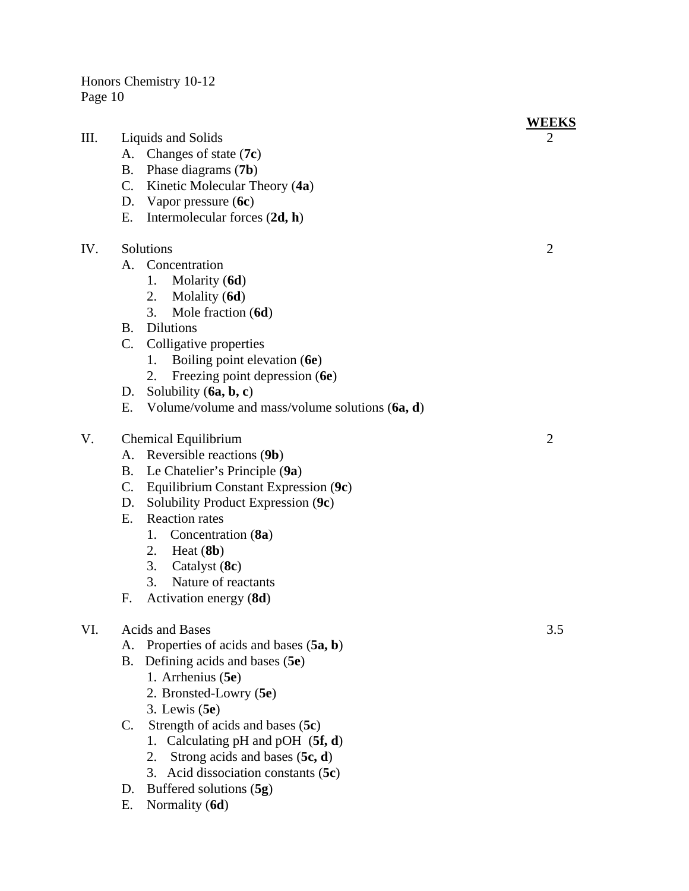| III. | Liquids and Solids<br>A. Changes of state (7c)<br>B. Phase diagrams (7b)<br>C. Kinetic Molecular Theory (4a)<br>D. Vapor pressure (6c)<br>Intermolecular forces $(2d, h)$<br>E.                                                                                                                                                                      | WEEKS<br>2     |
|------|------------------------------------------------------------------------------------------------------------------------------------------------------------------------------------------------------------------------------------------------------------------------------------------------------------------------------------------------------|----------------|
| IV.  | Solutions<br>A. Concentration<br>Molarity (6d)<br>1.<br>2. Molality (6d)<br>3.<br>Mole fraction (6d)                                                                                                                                                                                                                                                 | $\overline{2}$ |
|      | <b>Dilutions</b><br>B.<br>C. Colligative properties<br>1. Boiling point elevation (6e)<br>Freezing point depression (6e)<br>2.<br>Solubility $(6a, b, c)$<br>D.<br>E. Volume/volume and mass/volume solutions $(6a, d)$                                                                                                                              |                |
| V.   | Chemical Equilibrium<br>A. Reversible reactions (9b)<br>Le Chatelier's Principle (9a)<br><b>B</b> .<br>C. Equilibrium Constant Expression (9c)<br>D. Solubility Product Expression (9c)<br><b>Reaction</b> rates<br>E.<br>1. Concentration (8a)<br>2. Heat $(8b)$<br>3. Catalyst $(8c)$<br>3.<br>Nature of reactants<br>Activation energy (8d)<br>F. | 2              |
| VI.  | <b>Acids and Bases</b><br>Properties of acids and bases $(5a, b)$<br>А.<br>Defining acids and bases (5e)<br>B.<br>1. Arrhenius (5e)<br>2. Bronsted-Lowry (5e)<br>3. Lewis $(5e)$                                                                                                                                                                     | 3.5            |
|      | Strength of acids and bases (5c)<br>C.<br>Calculating $pH$ and $pOH$ (5f, d)<br>1.<br>Strong acids and bases $(5c, d)$<br>2.                                                                                                                                                                                                                         |                |

- 3. Acid dissociation constants (**5c**)
- D. Buffered solutions (**5g**)
- E. Normality (**6d**)